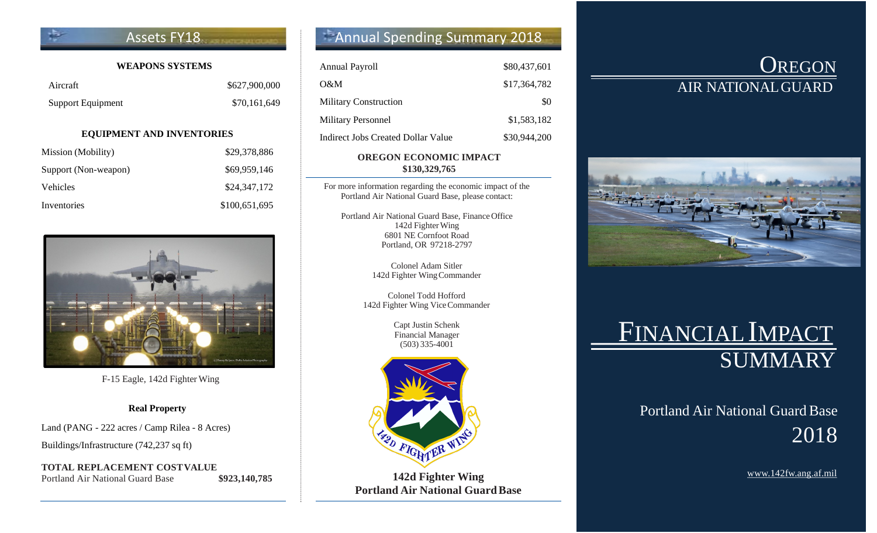### Assets FY18

### **WEAPONS SYSTEMS**

| Aircraft          | \$627,900,000 |
|-------------------|---------------|
| Support Equipment | \$70,161,649  |

#### **EQUIPMENT AND INVENTORIES**

| Mission (Mobility)   | \$29,378,886  |
|----------------------|---------------|
| Support (Non-weapon) | \$69,959,146  |
| Vehicles             | \$24,347,172  |
| Inventories          | \$100,651,695 |



F-15 Eagle, 142d Fighter Wing

### **Real Property**

Land (PANG - 222 acres / Camp Rilea - 8 Acres)

Buildings/Infrastructure (742,237 sq ft)

**TOTAL REPLACEMENT COSTVALUE** Portland Air National Guard Base **\$923,140,785** 

## Annual Spending Summary 2018

| <b>Annual Payroll</b>              | \$80,437,601 |
|------------------------------------|--------------|
| O&M                                | \$17,364,782 |
| <b>Military Construction</b>       | \$0          |
| <b>Military Personnel</b>          | \$1,583,182  |
| Indirect Jobs Created Dollar Value | \$30,944,200 |

### **OREGON ECONOMIC IMPACT \$130,329,765**

For more information regarding the economic impact of the Portland Air National Guard Base, please contact:

Portland Air National Guard Base, FinanceOffice 142d Fighter Wing 6801 NE Cornfoot Road Portland, OR 97218-2797

> Colonel Adam Sitler 142d Fighter WingCommander

Colonel Todd Hofford 142d Fighter Wing ViceCommander

> Capt Justin Schenk Financial Manager (503) 335-4001



**142d Fighter Wing Portland Air National GuardBase**

## **OREGON** AIR NATIONALGUARD



# FINANCIAL IMPACT **SUMMARY**

## Portland Air National Guard Base 2018

[www.142fw.ang.af.mil](http://www.142fw.ang.af.mil/)